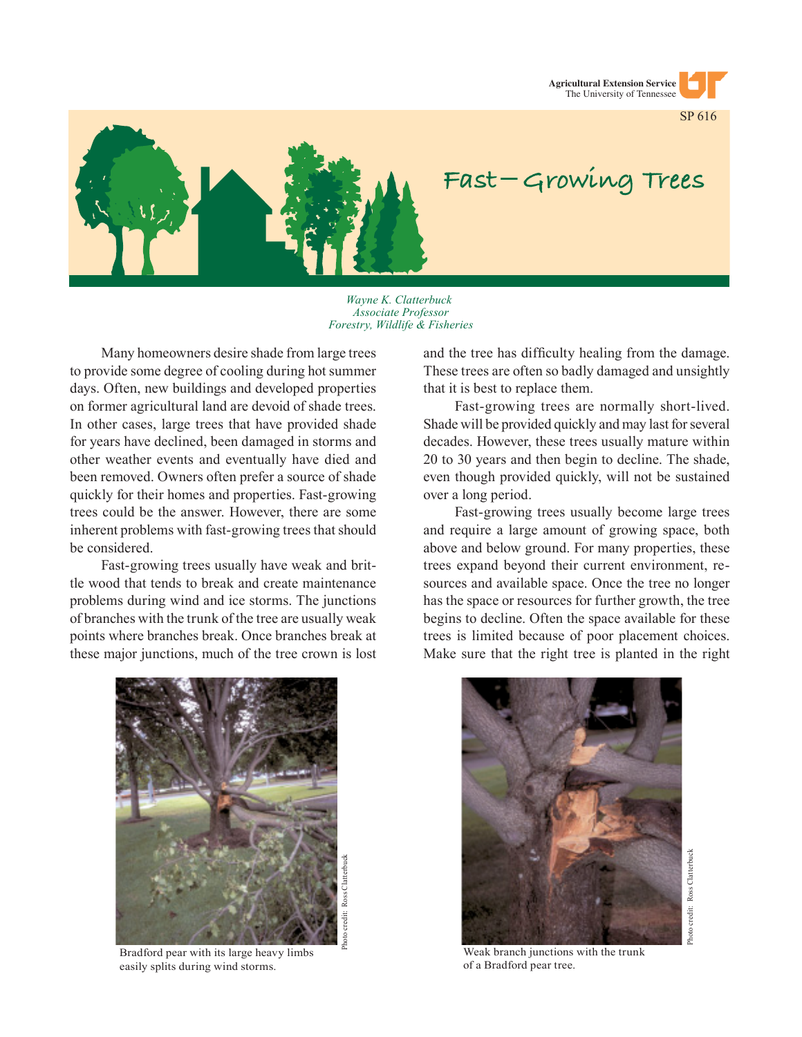



## Fast-Growing Trees

*Wayne K. Clatterbuck Associate Professor Forestry, Wildlife & Fisheries*

Many homeowners desire shade from large trees to provide some degree of cooling during hot summer days. Often, new buildings and developed properties on former agricultural land are devoid of shade trees. In other cases, large trees that have provided shade for years have declined, been damaged in storms and other weather events and eventually have died and been removed. Owners often prefer a source of shade quickly for their homes and properties. Fast-growing trees could be the answer. However, there are some inherent problems with fast-growing trees that should be considered.

Fast-growing trees usually have weak and brittle wood that tends to break and create maintenance problems during wind and ice storms. The junctions of branches with the trunk of the tree are usually weak points where branches break. Once branches break at these major junctions, much of the tree crown is lost

and the tree has difficulty healing from the damage. These trees are often so badly damaged and unsightly that it is best to replace them.

Fast-growing trees are normally short-lived. Shade will be provided quickly and may last for several decades. However, these trees usually mature within 20 to 30 years and then begin to decline. The shade, even though provided quickly, will not be sustained over a long period.

Fast-growing trees usually become large trees and require a large amount of growing space, both above and below ground. For many properties, these trees expand beyond their current environment, resources and available space. Once the tree no longer has the space or resources for further growth, the tree begins to decline. Often the space available for these trees is limited because of poor placement choices. Make sure that the right tree is planted in the right



Bradford pear with its large heavy limbs easily splits during wind storms.



Weak branch junctions with the trunk of a Bradford pear tree.